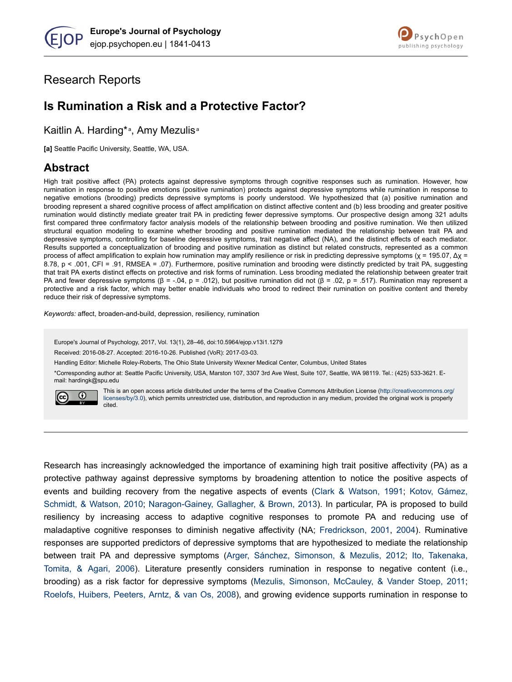

# Research Reports

# **Is Rumination a Risk and a Protective Factor?**

Kaitlin A. Harding\*<sup>a</sup>, Amy Mezulis<sup>a</sup>

**[a]** Seattle Pacific University, Seattle, WA, USA.

## **Abstract**

High trait positive affect (PA) protects against depressive symptoms through cognitive responses such as rumination. However, how rumination in response to positive emotions (positive rumination) protects against depressive symptoms while rumination in response to negative emotions (brooding) predicts depressive symptoms is poorly understood. We hypothesized that (a) positive rumination and brooding represent a shared cognitive process of affect amplification on distinct affective content and (b) less brooding and greater positive rumination would distinctly mediate greater trait PA in predicting fewer depressive symptoms. Our prospective design among 321 adults first compared three confirmatory factor analysis models of the relationship between brooding and positive rumination. We then utilized structural equation modeling to examine whether brooding and positive rumination mediated the relationship between trait PA and depressive symptoms, controlling for baseline depressive symptoms, trait negative affect (NA), and the distinct effects of each mediator. Results supported a conceptualization of brooding and positive rumination as distinct but related constructs, represented as a common process of affect amplification to explain how rumination may amplify resilience or risk in predicting depressive symptoms (χ = 195.07,  $Δχ$  = 8.78, p < .001, CFI = .91, RMSEA = .07). Furthermore, positive rumination and brooding were distinctly predicted by trait PA, suggesting that trait PA exerts distinct effects on protective and risk forms of rumination. Less brooding mediated the relationship between greater trait PA and fewer depressive symptoms (β = -.04, p = .012), but positive rumination did not (β = .02, p = .517). Rumination may represent a protective and a risk factor, which may better enable individuals who brood to redirect their rumination on positive content and thereby reduce their risk of depressive symptoms.

*Keywords:* affect, broaden-and-build, depression, resiliency, rumination

Europe's Journal of Psychology, 2017, Vol. 13(1), 28–46, doi:10.5964/ejop.v13i1.1279

Received: 2016-08-27. Accepted: 2016-10-26. Published (VoR): 2017-03-03.

Handling Editor: Michelle Roley-Roberts, The Ohio State University Wexner Medical Center, Columbus, United States

\*Corresponding author at: Seattle Pacific University, USA, Marston 107, 3307 3rd Ave West, Suite 107, Seattle, WA 98119. Tel.: (425) 533-3621. Email: hardingk@spu.edu



This is an open access article distributed under the terms of the Creative Commons Attribution License [\(http://creativecommons.org/](http://creativecommons.org/licenses/by/3.0) [licenses/by/3.0\)](http://creativecommons.org/licenses/by/3.0), which permits unrestricted use, distribution, and reproduction in any medium, provided the original work is properly cited.

Research has increasingly acknowledged the importance of examining high trait positive affectivity (PA) as a protective pathway against depressive symptoms by broadening attention to notice the positive aspects of events and building recovery from the negative aspects of events ([Clark & Watson, 1991](#page-15-0); [Kotov, Gámez,](#page-16-0) [Schmidt, & Watson, 2010](#page-16-0); [Naragon-Gainey, Gallagher, & Brown, 2013](#page-16-0)). In particular, PA is proposed to build resiliency by increasing access to adaptive cognitive responses to promote PA and reducing use of maladaptive cognitive responses to diminish negative affectivity (NA; [Fredrickson, 2001,](#page-15-0) [2004](#page-15-0)). Ruminative responses are supported predictors of depressive symptoms that are hypothesized to mediate the relationship between trait PA and depressive symptoms ([Arger, Sánchez, Simonson, & Mezulis, 2012](#page-14-0); [Ito, Takenaka,](#page-16-0) [Tomita, & Agari, 2006\)](#page-16-0). Literature presently considers rumination in response to negative content (i.e., brooding) as a risk factor for depressive symptoms [\(Mezulis, Simonson, McCauley, & Vander Stoep, 2011](#page-16-0); [Roelofs, Huibers, Peeters, Arntz, & van Os, 2008\)](#page-17-0), and growing evidence supports rumination in response to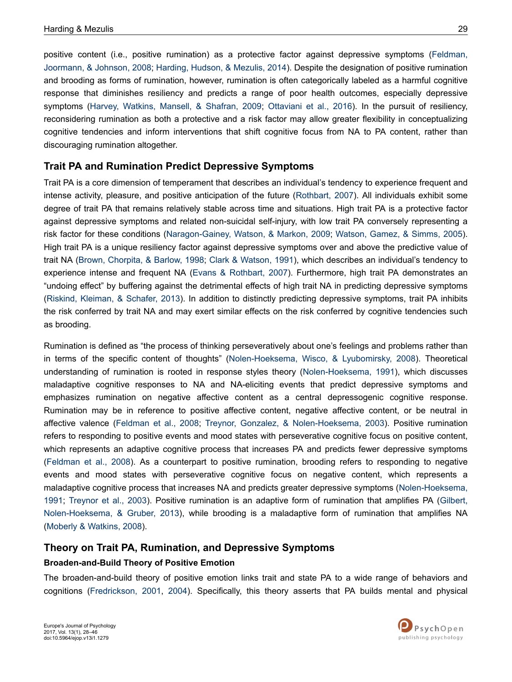positive content (i.e., positive rumination) as a protective factor against depressive symptoms ([Feldman,](#page-15-0) [Joormann, & Johnson, 2008](#page-15-0); [Harding, Hudson, & Mezulis, 2014\)](#page-15-0). Despite the designation of positive rumination and brooding as forms of rumination, however, rumination is often categorically labeled as a harmful cognitive response that diminishes resiliency and predicts a range of poor health outcomes, especially depressive symptoms ([Harvey, Watkins, Mansell, & Shafran, 2009](#page-15-0); [Ottaviani et al., 2016\)](#page-17-0). In the pursuit of resiliency, reconsidering rumination as both a protective and a risk factor may allow greater flexibility in conceptualizing cognitive tendencies and inform interventions that shift cognitive focus from NA to PA content, rather than discouraging rumination altogether.

## **Trait PA and Rumination Predict Depressive Symptoms**

Trait PA is a core dimension of temperament that describes an individual's tendency to experience frequent and intense activity, pleasure, and positive anticipation of the future [\(Rothbart, 2007](#page-17-0)). All individuals exhibit some degree of trait PA that remains relatively stable across time and situations. High trait PA is a protective factor against depressive symptoms and related non-suicidal self-injury, with low trait PA conversely representing a risk factor for these conditions ([Naragon-Gainey, Watson, & Markon, 2009](#page-16-0); [Watson, Gamez, & Simms, 2005](#page-18-0)). High trait PA is a unique resiliency factor against depressive symptoms over and above the predictive value of trait NA [\(Brown, Chorpita, & Barlow, 1998;](#page-15-0) [Clark & Watson, 1991\)](#page-15-0), which describes an individual's tendency to experience intense and frequent NA [\(Evans & Rothbart, 2007\)](#page-15-0). Furthermore, high trait PA demonstrates an "undoing effect" by buffering against the detrimental effects of high trait NA in predicting depressive symptoms [\(Riskind, Kleiman, & Schafer, 2013\)](#page-17-0). In addition to distinctly predicting depressive symptoms, trait PA inhibits the risk conferred by trait NA and may exert similar effects on the risk conferred by cognitive tendencies such as brooding.

Rumination is defined as "the process of thinking perseveratively about one's feelings and problems rather than in terms of the specific content of thoughts" [\(Nolen-Hoeksema, Wisco, & Lyubomirsky, 2008\)](#page-16-0). Theoretical understanding of rumination is rooted in response styles theory [\(Nolen-Hoeksema, 1991](#page-16-0)), which discusses maladaptive cognitive responses to NA and NA-eliciting events that predict depressive symptoms and emphasizes rumination on negative affective content as a central depressogenic cognitive response. Rumination may be in reference to positive affective content, negative affective content, or be neutral in affective valence ([Feldman et al., 2008](#page-15-0); [Treynor, Gonzalez, & Nolen-Hoeksema, 2003](#page-18-0)). Positive rumination refers to responding to positive events and mood states with perseverative cognitive focus on positive content, which represents an adaptive cognitive process that increases PA and predicts fewer depressive symptoms [\(Feldman et al., 2008\)](#page-15-0). As a counterpart to positive rumination, brooding refers to responding to negative events and mood states with perseverative cognitive focus on negative content, which represents a maladaptive cognitive process that increases NA and predicts greater depressive symptoms ([Nolen-Hoeksema,](#page-16-0) [1991](#page-16-0); [Treynor et al., 2003\)](#page-18-0). Positive rumination is an adaptive form of rumination that amplifies PA ([Gilbert,](#page-15-0) [Nolen-Hoeksema, & Gruber, 2013\)](#page-15-0), while brooding is a maladaptive form of rumination that amplifies NA [\(Moberly & Watkins, 2008](#page-16-0)).

### **Theory on Trait PA, Rumination, and Depressive Symptoms**

### **Broaden-and-Build Theory of Positive Emotion**

The broaden-and-build theory of positive emotion links trait and state PA to a wide range of behaviors and cognitions ([Fredrickson, 2001,](#page-15-0) [2004\)](#page-15-0). Specifically, this theory asserts that PA builds mental and physical

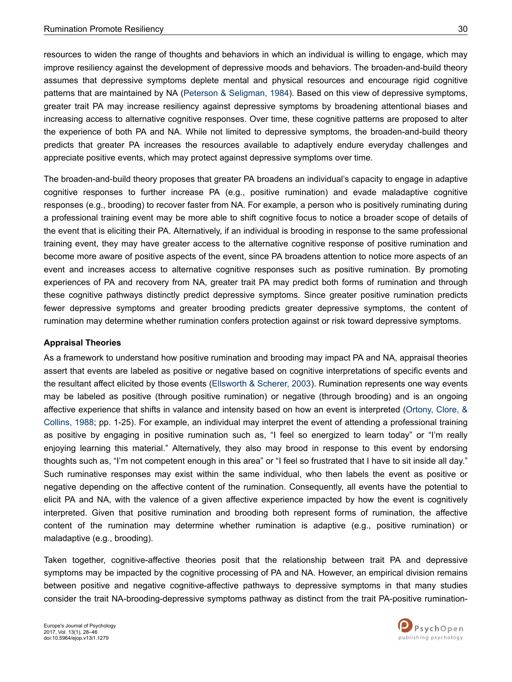resources to widen the range of thoughts and behaviors in which an individual is willing to engage, which may improve resiliency against the development of depressive moods and behaviors. The broaden-and-build theory assumes that depressive symptoms deplete mental and physical resources and encourage rigid cognitive patterns that are maintained by NA ([Peterson & Seligman, 1984](#page-17-0)). Based on this view of depressive symptoms, greater trait PA may increase resiliency against depressive symptoms by broadening attentional biases and increasing access to alternative cognitive responses. Over time, these cognitive patterns are proposed to alter the experience of both PA and NA. While not limited to depressive symptoms, the broaden-and-build theory predicts that greater PA increases the resources available to adaptively endure everyday challenges and appreciate positive events, which may protect against depressive symptoms over time.

The broaden-and-build theory proposes that greater PA broadens an individual's capacity to engage in adaptive cognitive responses to further increase PA (e.g., positive rumination) and evade maladaptive cognitive responses (e.g., brooding) to recover faster from NA. For example, a person who is positively ruminating during a professional training event may be more able to shift cognitive focus to notice a broader scope of details of the event that is eliciting their PA. Alternatively, if an individual is brooding in response to the same professional training event, they may have greater access to the alternative cognitive response of positive rumination and become more aware of positive aspects of the event, since PA broadens attention to notice more aspects of an event and increases access to alternative cognitive responses such as positive rumination. By promoting experiences of PA and recovery from NA, greater trait PA may predict both forms of rumination and through these cognitive pathways distinctly predict depressive symptoms. Since greater positive rumination predicts fewer depressive symptoms and greater brooding predicts greater depressive symptoms, the content of rumination may determine whether rumination confers protection against or risk toward depressive symptoms.

### **Appraisal Theories**

As a framework to understand how positive rumination and brooding may impact PA and NA, appraisal theories assert that events are labeled as positive or negative based on cognitive interpretations of specific events and the resultant affect elicited by those events ([Ellsworth & Scherer, 2003\)](#page-15-0). Rumination represents one way events may be labeled as positive (through positive rumination) or negative (through brooding) and is an ongoing affective experience that shifts in valance and intensity based on how an event is interpreted [\(Ortony, Clore, &](#page-17-0) [Collins, 1988](#page-17-0); pp. 1-25). For example, an individual may interpret the event of attending a professional training as positive by engaging in positive rumination such as, "I feel so energized to learn today" or "I'm really enjoying learning this material." Alternatively, they also may brood in response to this event by endorsing thoughts such as, "I'm not competent enough in this area" or "I feel so frustrated that I have to sit inside all day." Such ruminative responses may exist within the same individual, who then labels the event as positive or negative depending on the affective content of the rumination. Consequently, all events have the potential to elicit PA and NA, with the valence of a given affective experience impacted by how the event is cognitively interpreted. Given that positive rumination and brooding both represent forms of rumination, the affective content of the rumination may determine whether rumination is adaptive (e.g., positive rumination) or maladaptive (e.g., brooding).

Taken together, cognitive-affective theories posit that the relationship between trait PA and depressive symptoms may be impacted by the cognitive processing of PA and NA. However, an empirical division remains between positive and negative cognitive-affective pathways to depressive symptoms in that many studies consider the trait NA-brooding-depressive symptoms pathway as distinct from the trait PA-positive rumination-

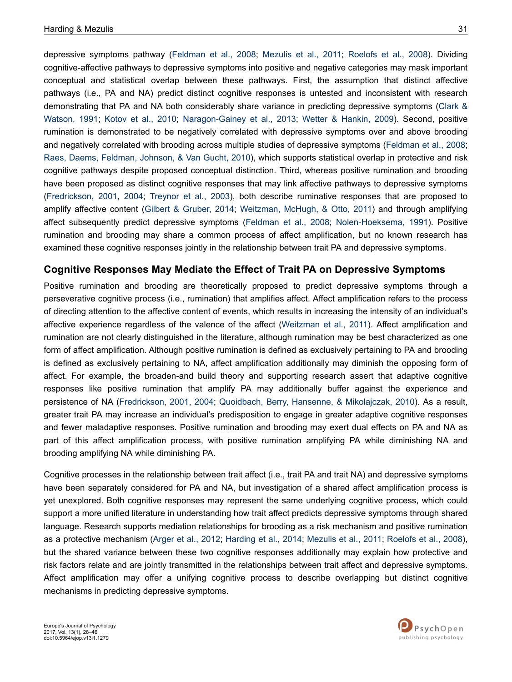depressive symptoms pathway [\(Feldman et al., 2008;](#page-15-0) [Mezulis et al., 2011](#page-16-0); [Roelofs et al., 2008\)](#page-17-0). Dividing cognitive-affective pathways to depressive symptoms into positive and negative categories may mask important conceptual and statistical overlap between these pathways. First, the assumption that distinct affective pathways (i.e., PA and NA) predict distinct cognitive responses is untested and inconsistent with research demonstrating that PA and NA both considerably share variance in predicting depressive symptoms [\(Clark &](#page-15-0) [Watson, 1991](#page-15-0); [Kotov et al., 2010](#page-16-0); [Naragon-Gainey et al., 2013](#page-16-0); [Wetter & Hankin, 2009](#page-18-0)). Second, positive rumination is demonstrated to be negatively correlated with depressive symptoms over and above brooding and negatively correlated with brooding across multiple studies of depressive symptoms [\(Feldman et al., 2008](#page-15-0); [Raes, Daems, Feldman, Johnson, & Van Gucht, 2010\)](#page-17-0), which supports statistical overlap in protective and risk cognitive pathways despite proposed conceptual distinction. Third, whereas positive rumination and brooding have been proposed as distinct cognitive responses that may link affective pathways to depressive symptoms [\(Fredrickson, 2001,](#page-15-0) [2004;](#page-15-0) [Treynor et al., 2003](#page-18-0)), both describe ruminative responses that are proposed to amplify affective content [\(Gilbert & Gruber, 2014](#page-15-0); [Weitzman, McHugh, & Otto, 2011\)](#page-18-0) and through amplifying affect subsequently predict depressive symptoms ([Feldman et al., 2008](#page-15-0); [Nolen-Hoeksema, 1991](#page-16-0)). Positive rumination and brooding may share a common process of affect amplification, but no known research has examined these cognitive responses jointly in the relationship between trait PA and depressive symptoms.

### **Cognitive Responses May Mediate the Effect of Trait PA on Depressive Symptoms**

Positive rumination and brooding are theoretically proposed to predict depressive symptoms through a perseverative cognitive process (i.e., rumination) that amplifies affect. Affect amplification refers to the process of directing attention to the affective content of events, which results in increasing the intensity of an individual's affective experience regardless of the valence of the affect ([Weitzman et al., 2011\)](#page-18-0). Affect amplification and rumination are not clearly distinguished in the literature, although rumination may be best characterized as one form of affect amplification. Although positive rumination is defined as exclusively pertaining to PA and brooding is defined as exclusively pertaining to NA, affect amplification additionally may diminish the opposing form of affect. For example, the broaden-and build theory and supporting research assert that adaptive cognitive responses like positive rumination that amplify PA may additionally buffer against the experience and persistence of NA ([Fredrickson, 2001,](#page-15-0) [2004;](#page-15-0) [Quoidbach, Berry, Hansenne, & Mikolajczak, 2010\)](#page-17-0). As a result, greater trait PA may increase an individual's predisposition to engage in greater adaptive cognitive responses and fewer maladaptive responses. Positive rumination and brooding may exert dual effects on PA and NA as part of this affect amplification process, with positive rumination amplifying PA while diminishing NA and brooding amplifying NA while diminishing PA.

Cognitive processes in the relationship between trait affect (i.e., trait PA and trait NA) and depressive symptoms have been separately considered for PA and NA, but investigation of a shared affect amplification process is yet unexplored. Both cognitive responses may represent the same underlying cognitive process, which could support a more unified literature in understanding how trait affect predicts depressive symptoms through shared language. Research supports mediation relationships for brooding as a risk mechanism and positive rumination as a protective mechanism [\(Arger et al., 2012](#page-14-0); [Harding et al., 2014](#page-15-0); [Mezulis et al., 2011](#page-16-0); [Roelofs et al., 2008](#page-17-0)), but the shared variance between these two cognitive responses additionally may explain how protective and risk factors relate and are jointly transmitted in the relationships between trait affect and depressive symptoms. Affect amplification may offer a unifying cognitive process to describe overlapping but distinct cognitive mechanisms in predicting depressive symptoms.

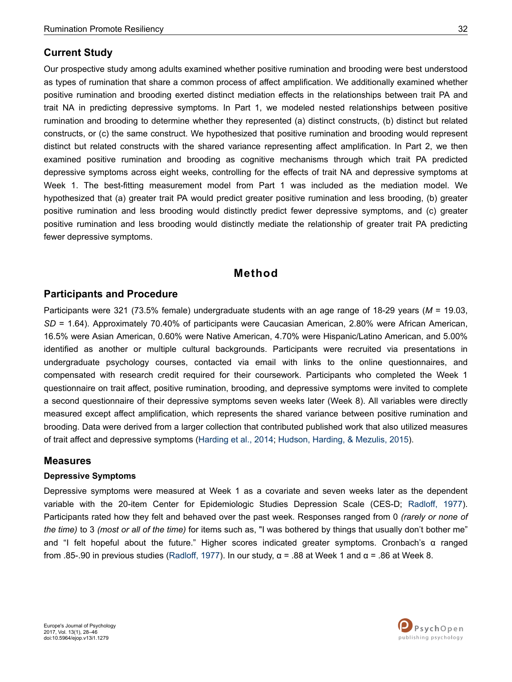### **Current Study**

Our prospective study among adults examined whether positive rumination and brooding were best understood as types of rumination that share a common process of affect amplification. We additionally examined whether positive rumination and brooding exerted distinct mediation effects in the relationships between trait PA and trait NA in predicting depressive symptoms. In Part 1, we modeled nested relationships between positive rumination and brooding to determine whether they represented (a) distinct constructs, (b) distinct but related constructs, or (c) the same construct. We hypothesized that positive rumination and brooding would represent distinct but related constructs with the shared variance representing affect amplification. In Part 2, we then examined positive rumination and brooding as cognitive mechanisms through which trait PA predicted depressive symptoms across eight weeks, controlling for the effects of trait NA and depressive symptoms at Week 1. The best-fitting measurement model from Part 1 was included as the mediation model. We hypothesized that (a) greater trait PA would predict greater positive rumination and less brooding, (b) greater positive rumination and less brooding would distinctly predict fewer depressive symptoms, and (c) greater positive rumination and less brooding would distinctly mediate the relationship of greater trait PA predicting fewer depressive symptoms.

## **Method**

### **Participants and Procedure**

Participants were 321 (73.5% female) undergraduate students with an age range of 18-29 years (*M* = 19.03, *SD* = 1.64). Approximately 70.40% of participants were Caucasian American, 2.80% were African American, 16.5% were Asian American, 0.60% were Native American, 4.70% were Hispanic/Latino American, and 5.00% identified as another or multiple cultural backgrounds. Participants were recruited via presentations in undergraduate psychology courses, contacted via email with links to the online questionnaires, and compensated with research credit required for their coursework. Participants who completed the Week 1 questionnaire on trait affect, positive rumination, brooding, and depressive symptoms were invited to complete a second questionnaire of their depressive symptoms seven weeks later (Week 8). All variables were directly measured except affect amplification, which represents the shared variance between positive rumination and brooding. Data were derived from a larger collection that contributed published work that also utilized measures of trait affect and depressive symptoms ([Harding et al., 2014](#page-15-0); [Hudson, Harding, & Mezulis, 2015\)](#page-16-0).

### **Measures**

### **Depressive Symptoms**

Depressive symptoms were measured at Week 1 as a covariate and seven weeks later as the dependent variable with the 20-item Center for Epidemiologic Studies Depression Scale (CES-D; [Radloff, 1977](#page-17-0)). Participants rated how they felt and behaved over the past week. Responses ranged from 0 *(rarely or none of the time)* to 3 *(most or all of the time)* for items such as, "I was bothered by things that usually don't bother me" and "I felt hopeful about the future." Higher scores indicated greater symptoms. Cronbach's α ranged from .85-.90 in previous studies ([Radloff, 1977\)](#page-17-0). In our study, α = .88 at Week 1 and α = .86 at Week 8.

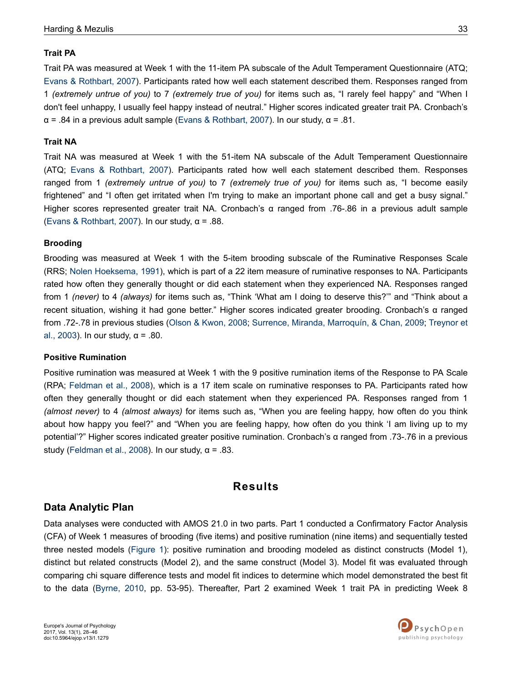### **Trait PA**

Trait PA was measured at Week 1 with the 11-item PA subscale of the Adult Temperament Questionnaire (ATQ; [Evans & Rothbart, 2007](#page-15-0)). Participants rated how well each statement described them. Responses ranged from 1 *(extremely untrue of you)* to 7 *(extremely true of you)* for items such as, "I rarely feel happy" and "When I don't feel unhappy, I usually feel happy instead of neutral." Higher scores indicated greater trait PA. Cronbach's  $\alpha$  = .84 in a previous adult sample [\(Evans & Rothbart, 2007](#page-15-0)). In our study,  $\alpha$  = .81.

### **Trait NA**

Trait NA was measured at Week 1 with the 51-item NA subscale of the Adult Temperament Questionnaire (ATQ; [Evans & Rothbart, 2007\)](#page-15-0). Participants rated how well each statement described them. Responses ranged from 1 *(extremely untrue of you)* to 7 *(extremely true of you)* for items such as, "I become easily frightened" and "I often get irritated when I'm trying to make an important phone call and get a busy signal." Higher scores represented greater trait NA. Cronbach's α ranged from .76-.86 in a previous adult sample [\(Evans & Rothbart, 2007\)](#page-15-0). In our study, α = .88.

### **Brooding**

Brooding was measured at Week 1 with the 5-item brooding subscale of the Ruminative Responses Scale (RRS; [Nolen Hoeksema, 1991](#page-16-0)), which is part of a 22 item measure of ruminative responses to NA. Participants rated how often they generally thought or did each statement when they experienced NA. Responses ranged from 1 *(never)* to 4 *(always)* for items such as, "Think 'What am I doing to deserve this?'" and "Think about a recent situation, wishing it had gone better." Higher scores indicated greater brooding. Cronbach's α ranged from .72-.78 in previous studies ([Olson & Kwon, 2008;](#page-17-0) [Surrence, Miranda, Marroquín, & Chan, 2009](#page-18-0); [Treynor et](#page-18-0) [al., 2003](#page-18-0)). In our study,  $\alpha$  = .80.

### **Positive Rumination**

Positive rumination was measured at Week 1 with the 9 positive rumination items of the Response to PA Scale (RPA; [Feldman et al., 2008](#page-15-0)), which is a 17 item scale on ruminative responses to PA. Participants rated how often they generally thought or did each statement when they experienced PA. Responses ranged from 1 *(almost never)* to 4 *(almost always)* for items such as, "When you are feeling happy, how often do you think about how happy you feel?" and "When you are feeling happy, how often do you think 'I am living up to my potential'?" Higher scores indicated greater positive rumination. Cronbach's α ranged from .73-.76 in a previous study [\(Feldman et al., 2008](#page-15-0)). In our study,  $\alpha$  = .83.

# **Results**

### **Data Analytic Plan**

Data analyses were conducted with AMOS 21.0 in two parts. Part 1 conducted a Confirmatory Factor Analysis (CFA) of Week 1 measures of brooding (five items) and positive rumination (nine items) and sequentially tested three nested models [\(Figure 1\)](#page-6-0): positive rumination and brooding modeled as distinct constructs (Model 1), distinct but related constructs (Model 2), and the same construct (Model 3). Model fit was evaluated through comparing chi square difference tests and model fit indices to determine which model demonstrated the best fit to the data [\(Byrne, 2010](#page-15-0), pp. 53-95). Thereafter, Part 2 examined Week 1 trait PA in predicting Week 8

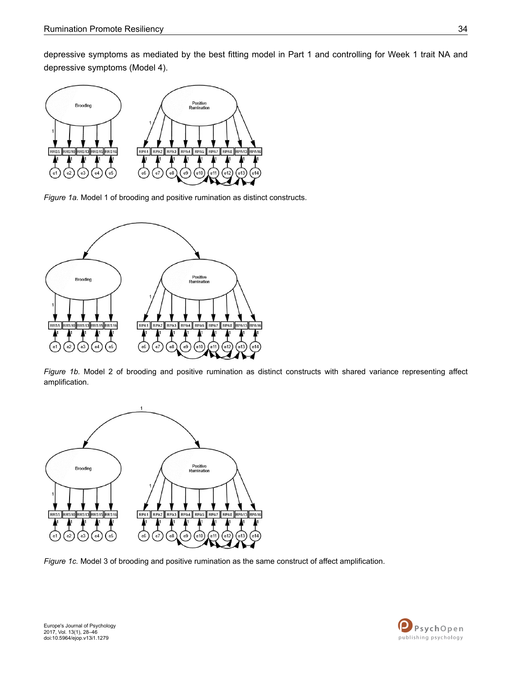<span id="page-6-0"></span>depressive symptoms as mediated by the best fitting model in Part 1 and controlling for Week 1 trait NA and depressive symptoms (Model 4).



*Figure 1a.* Model 1 of brooding and positive rumination as distinct constructs.



*Figure 1b.* Model 2 of brooding and positive rumination as distinct constructs with shared variance representing affect amplification.



*Figure 1c.* Model 3 of brooding and positive rumination as the same construct of affect amplification.

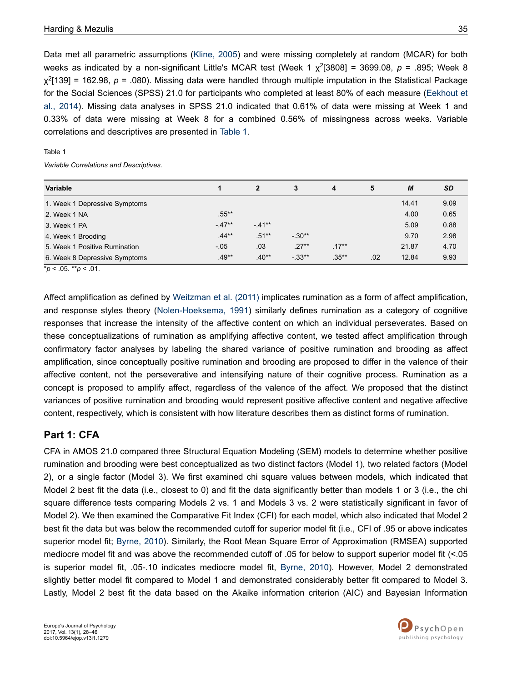<span id="page-7-0"></span>Data met all parametric assumptions [\(Kline, 2005](#page-16-0)) and were missing completely at random (MCAR) for both weeks as indicated by a non-significant Little's MCAR test (Week 1 χ 2 [3808] = 3699.08, *p* = .895; Week 8 χ 2 [139] = 162.98, *p* = .080). Missing data were handled through multiple imputation in the Statistical Package for the Social Sciences (SPSS) 21.0 for participants who completed at least 80% of each measure [\(Eekhout et](#page-15-0) [al., 2014](#page-15-0)). Missing data analyses in SPSS 21.0 indicated that 0.61% of data were missing at Week 1 and 0.33% of data were missing at Week 8 for a combined 0.56% of missingness across weeks. Variable correlations and descriptives are presented in Table 1.

#### Table 1

*Variable Correlations and Descriptives.*

| <b>Variable</b>               |          | $\overline{2}$ | 3       | 4        | 5   | M     | <b>SD</b> |
|-------------------------------|----------|----------------|---------|----------|-----|-------|-----------|
| 1. Week 1 Depressive Symptoms |          |                |         |          |     | 14.41 | 9.09      |
| 2. Week 1 NA                  | $.55***$ |                |         |          |     | 4.00  | 0.65      |
| 3. Week 1 PA                  | $-47**$  | $-41**$        |         |          |     | 5.09  | 0.88      |
| 4. Week 1 Brooding            | $.44**$  | $.51**$        | $-30**$ |          |     | 9.70  | 2.98      |
| 5. Week 1 Positive Rumination | $-.05$   | .03            | $.27**$ | $.17***$ |     | 21.87 | 4.70      |
| 6. Week 8 Depressive Symptoms | $.49**$  | $.40**$        | $-33**$ | $.35***$ | .02 | 12.84 | 9.93      |

\**p* < .05. \*\**p* < .01.

Affect amplification as defined by [Weitzman et al. \(2011\)](#page-18-0) implicates rumination as a form of affect amplification, and response styles theory ([Nolen-Hoeksema, 1991](#page-16-0)) similarly defines rumination as a category of cognitive responses that increase the intensity of the affective content on which an individual perseverates. Based on these conceptualizations of rumination as amplifying affective content, we tested affect amplification through confirmatory factor analyses by labeling the shared variance of positive rumination and brooding as affect amplification, since conceptually positive rumination and brooding are proposed to differ in the valence of their affective content, not the perseverative and intensifying nature of their cognitive process. Rumination as a concept is proposed to amplify affect, regardless of the valence of the affect. We proposed that the distinct variances of positive rumination and brooding would represent positive affective content and negative affective content, respectively, which is consistent with how literature describes them as distinct forms of rumination.

## **Part 1: CFA**

CFA in AMOS 21.0 compared three Structural Equation Modeling (SEM) models to determine whether positive rumination and brooding were best conceptualized as two distinct factors (Model 1), two related factors (Model 2), or a single factor (Model 3). We first examined chi square values between models, which indicated that Model 2 best fit the data (i.e., closest to 0) and fit the data significantly better than models 1 or 3 (i.e., the chi square difference tests comparing Models 2 vs. 1 and Models 3 vs. 2 were statistically significant in favor of Model 2). We then examined the Comparative Fit Index (CFI) for each model, which also indicated that Model 2 best fit the data but was below the recommended cutoff for superior model fit (i.e., CFI of .95 or above indicates superior model fit; [Byrne, 2010](#page-15-0)). Similarly, the Root Mean Square Error of Approximation (RMSEA) supported mediocre model fit and was above the recommended cutoff of .05 for below to support superior model fit (<.05 is superior model fit, .05-.10 indicates mediocre model fit, [Byrne, 2010\)](#page-15-0). However, Model 2 demonstrated slightly better model fit compared to Model 1 and demonstrated considerably better fit compared to Model 3. Lastly, Model 2 best fit the data based on the Akaike information criterion (AIC) and Bayesian Information

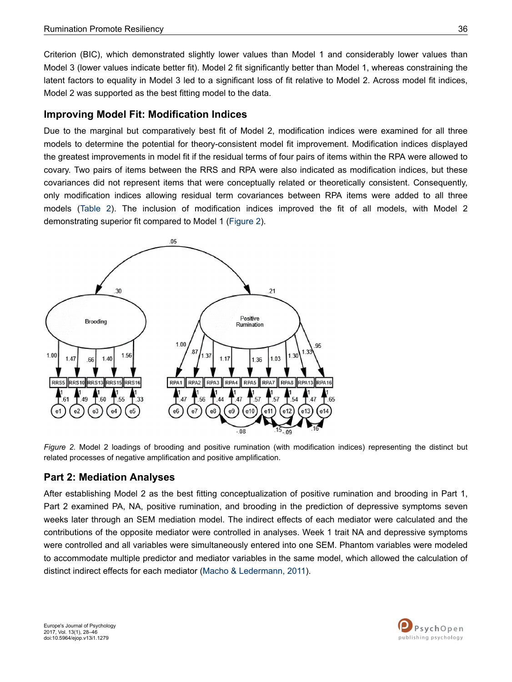Criterion (BIC), which demonstrated slightly lower values than Model 1 and considerably lower values than Model 3 (lower values indicate better fit). Model 2 fit significantly better than Model 1, whereas constraining the latent factors to equality in Model 3 led to a significant loss of fit relative to Model 2. Across model fit indices, Model 2 was supported as the best fitting model to the data.

## **Improving Model Fit: Modification Indices**

Due to the marginal but comparatively best fit of Model 2, modification indices were examined for all three models to determine the potential for theory-consistent model fit improvement. Modification indices displayed the greatest improvements in model fit if the residual terms of four pairs of items within the RPA were allowed to covary. Two pairs of items between the RRS and RPA were also indicated as modification indices, but these covariances did not represent items that were conceptually related or theoretically consistent. Consequently, only modification indices allowing residual term covariances between RPA items were added to all three models [\(Table 2](#page-9-0)). The inclusion of modification indices improved the fit of all models, with Model 2 demonstrating superior fit compared to Model 1 (Figure 2).



*Figure 2.* Model 2 loadings of brooding and positive rumination (with modification indices) representing the distinct but related processes of negative amplification and positive amplification.

## **Part 2: Mediation Analyses**

After establishing Model 2 as the best fitting conceptualization of positive rumination and brooding in Part 1, Part 2 examined PA, NA, positive rumination, and brooding in the prediction of depressive symptoms seven weeks later through an SEM mediation model. The indirect effects of each mediator were calculated and the contributions of the opposite mediator were controlled in analyses. Week 1 trait NA and depressive symptoms were controlled and all variables were simultaneously entered into one SEM. Phantom variables were modeled to accommodate multiple predictor and mediator variables in the same model, which allowed the calculation of distinct indirect effects for each mediator ([Macho & Ledermann, 2011\)](#page-16-0).

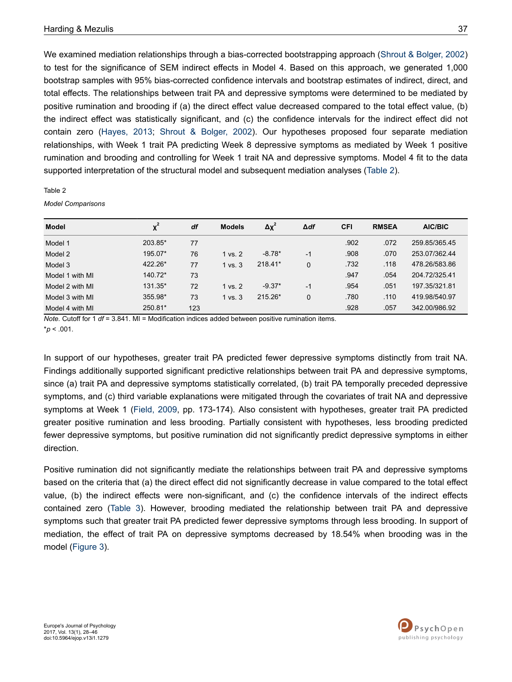<span id="page-9-0"></span>We examined mediation relationships through a bias-corrected bootstrapping approach ([Shrout & Bolger, 2002\)](#page-17-0) to test for the significance of SEM indirect effects in Model 4. Based on this approach, we generated 1,000 bootstrap samples with 95% bias-corrected confidence intervals and bootstrap estimates of indirect, direct, and total effects. The relationships between trait PA and depressive symptoms were determined to be mediated by positive rumination and brooding if (a) the direct effect value decreased compared to the total effect value, (b) the indirect effect was statistically significant, and (c) the confidence intervals for the indirect effect did not contain zero ([Hayes, 2013](#page-15-0); [Shrout & Bolger, 2002](#page-17-0)). Our hypotheses proposed four separate mediation relationships, with Week 1 trait PA predicting Week 8 depressive symptoms as mediated by Week 1 positive rumination and brooding and controlling for Week 1 trait NA and depressive symptoms. Model 4 fit to the data supported interpretation of the structural model and subsequent mediation analyses (Table 2).

#### Table 2

*Model Comparisons*

| <b>Model</b>    | $\chi^2$ | df  | <b>Models</b> | $\Delta \chi^2$ | $\Delta df$ | <b>CFI</b> | <b>RMSEA</b> | AIC/BIC       |
|-----------------|----------|-----|---------------|-----------------|-------------|------------|--------------|---------------|
| Model 1         | 203.85*  | 77  |               |                 |             | .902       | .072         | 259.85/365.45 |
| Model 2         | 195.07*  | 76  | 1 vs. 2       | $-8.78*$        | $-1$        | .908       | .070         | 253.07/362.44 |
| Model 3         | 422.26*  | 77  | $1$ vs. $3$   | $218.41*$       | $\Omega$    | .732       | .118         | 478.26/583.86 |
| Model 1 with MI | 140.72*  | 73  |               |                 |             | .947       | .054         | 204.72/325.41 |
| Model 2 with MI | 131.35*  | 72  | 1 vs. 2       | $-9.37*$        | $-1$        | .954       | .051         | 197.35/321.81 |
| Model 3 with MI | 355.98*  | 73  | $1$ vs. $3$   | 215.26*         | $\Omega$    | .780       | .110         | 419.98/540.97 |
| Model 4 with MI | 250.81*  | 123 |               |                 |             | .928       | .057         | 342.00/986.92 |

*Note.* Cutoff for 1 *df* = 3.841. MI = Modification indices added between positive rumination items. \**p* < .001.

In support of our hypotheses, greater trait PA predicted fewer depressive symptoms distinctly from trait NA. Findings additionally supported significant predictive relationships between trait PA and depressive symptoms, since (a) trait PA and depressive symptoms statistically correlated, (b) trait PA temporally preceded depressive symptoms, and (c) third variable explanations were mitigated through the covariates of trait NA and depressive symptoms at Week 1 [\(Field, 2009](#page-15-0), pp. 173-174). Also consistent with hypotheses, greater trait PA predicted greater positive rumination and less brooding. Partially consistent with hypotheses, less brooding predicted fewer depressive symptoms, but positive rumination did not significantly predict depressive symptoms in either direction.

Positive rumination did not significantly mediate the relationships between trait PA and depressive symptoms based on the criteria that (a) the direct effect did not significantly decrease in value compared to the total effect value, (b) the indirect effects were non-significant, and (c) the confidence intervals of the indirect effects contained zero [\(Table 3](#page-11-0)). However, brooding mediated the relationship between trait PA and depressive symptoms such that greater trait PA predicted fewer depressive symptoms through less brooding. In support of mediation, the effect of trait PA on depressive symptoms decreased by 18.54% when brooding was in the model [\(Figure 3](#page-10-0)).

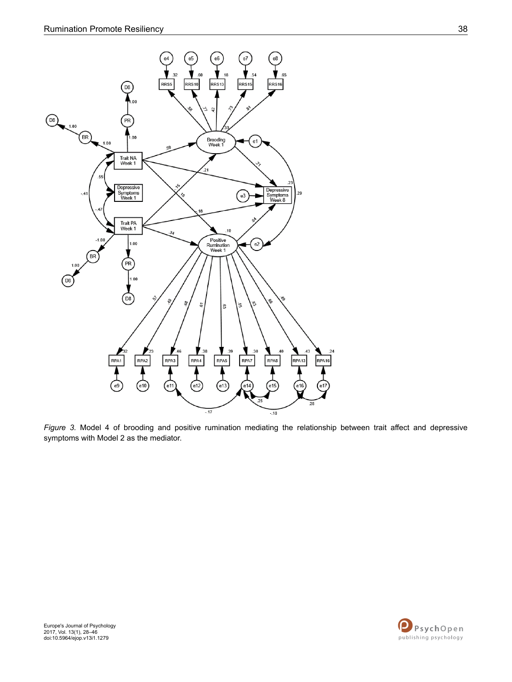<span id="page-10-0"></span>

*Figure 3.* Model 4 of brooding and positive rumination mediating the relationship between trait affect and depressive symptoms with Model 2 as the mediator.

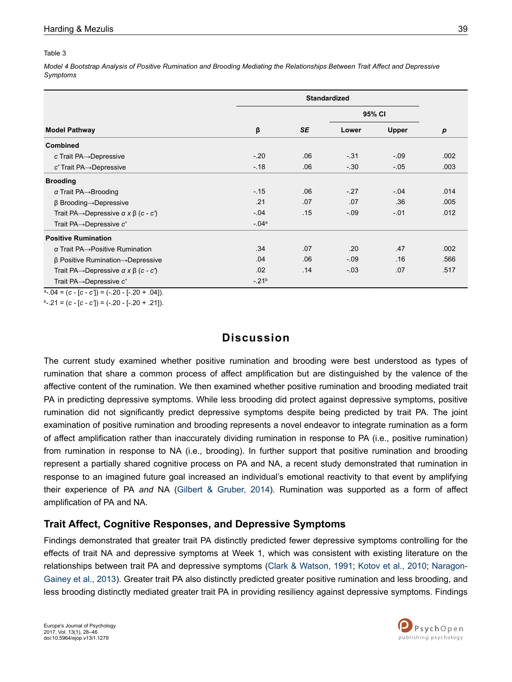#### <span id="page-11-0"></span>Table 3

*Model 4 Bootstrap Analysis of Positive Rumination and Brooding Mediating the Relationships Between Trait Affect and Depressive Symptoms*

|                                                                  |           |           | 95% CI |        |                  |
|------------------------------------------------------------------|-----------|-----------|--------|--------|------------------|
| <b>Model Pathway</b>                                             | β         | <b>SE</b> | Lower  | Upper  | $\boldsymbol{p}$ |
| <b>Combined</b>                                                  |           |           |        |        |                  |
| c Trait $PA \rightarrow Depressive$                              | $-20$     | .06       | $-.31$ | $-0.9$ | .002             |
| c' Trait PA→Depressive                                           | $-18$     | .06       | $-30$  | $-05$  | .003             |
| <b>Brooding</b>                                                  |           |           |        |        |                  |
| $\alpha$ Trait PA $\rightarrow$ Brooding                         | $-15$     | .06       | $-27$  | $-.04$ | .014             |
| $\beta$ Brooding $\rightarrow$ Depressive                        | .21       | .07       | .07    | .36    | .005             |
| Trait PA $\rightarrow$ Depressive $\alpha \times \beta$ (c - c') | $-.04$    | .15       | $-.09$ | $-.01$ | .012             |
| Trait $PA \rightarrow$ Depressive c'                             | $-.04a$   |           |        |        |                  |
| <b>Positive Rumination</b>                                       |           |           |        |        |                  |
| $\alpha$ Trait PA $\rightarrow$ Positive Rumination              | .34       | .07       | .20    | .47    | .002             |
| $\beta$ Positive Rumination $\rightarrow$ Depressive             | .04       | .06       | $-.09$ | .16    | .566             |
| Trait PA $\rightarrow$ Depressive $\alpha \times \beta$ (c - c') | .02       | .14       | $-.03$ | .07    | .517             |
| Trait PA→Depressive c'                                           | $-21^{b}$ |           |        |        |                  |

 $a = -04 = (c - [c - c']) = (-.20 - [-.20 + .04]).$ 

b -.21 = (*c -* [*c - c'*]) = (-.20 - [-.20 + .21]).

## **Discussion**

The current study examined whether positive rumination and brooding were best understood as types of rumination that share a common process of affect amplification but are distinguished by the valence of the affective content of the rumination. We then examined whether positive rumination and brooding mediated trait PA in predicting depressive symptoms. While less brooding did protect against depressive symptoms, positive rumination did not significantly predict depressive symptoms despite being predicted by trait PA. The joint examination of positive rumination and brooding represents a novel endeavor to integrate rumination as a form of affect amplification rather than inaccurately dividing rumination in response to PA (i.e., positive rumination) from rumination in response to NA (i.e., brooding). In further support that positive rumination and brooding represent a partially shared cognitive process on PA and NA, a recent study demonstrated that rumination in response to an imagined future goal increased an individual's emotional reactivity to that event by amplifying their experience of PA *and* NA [\(Gilbert & Gruber, 2014\)](#page-15-0). Rumination was supported as a form of affect amplification of PA and NA.

### **Trait Affect, Cognitive Responses, and Depressive Symptoms**

Findings demonstrated that greater trait PA distinctly predicted fewer depressive symptoms controlling for the effects of trait NA and depressive symptoms at Week 1, which was consistent with existing literature on the relationships between trait PA and depressive symptoms ([Clark & Watson, 1991;](#page-15-0) [Kotov et al., 2010](#page-16-0); [Naragon-](#page-16-0)[Gainey et al., 2013](#page-16-0)). Greater trait PA also distinctly predicted greater positive rumination and less brooding, and less brooding distinctly mediated greater trait PA in providing resiliency against depressive symptoms. Findings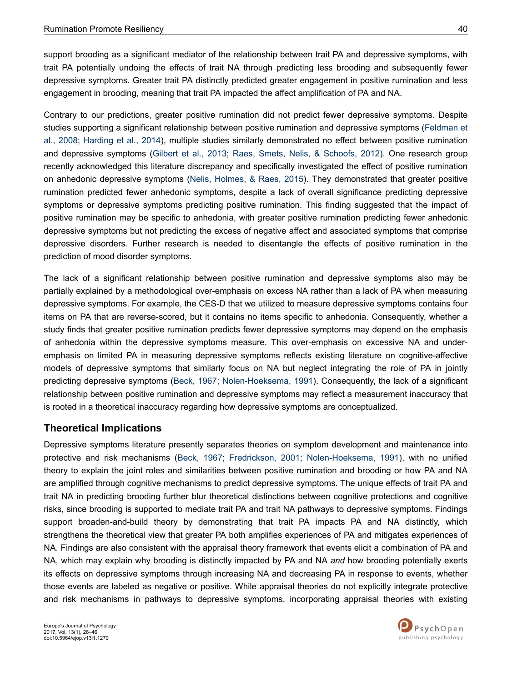support brooding as a significant mediator of the relationship between trait PA and depressive symptoms, with trait PA potentially undoing the effects of trait NA through predicting less brooding and subsequently fewer depressive symptoms. Greater trait PA distinctly predicted greater engagement in positive rumination and less engagement in brooding, meaning that trait PA impacted the affect amplification of PA and NA.

Contrary to our predictions, greater positive rumination did not predict fewer depressive symptoms. Despite studies supporting a significant relationship between positive rumination and depressive symptoms [\(Feldman et](#page-15-0) [al., 2008](#page-15-0); [Harding et al., 2014](#page-15-0)), multiple studies similarly demonstrated no effect between positive rumination and depressive symptoms ([Gilbert et al., 2013;](#page-15-0) [Raes, Smets, Nelis, & Schoofs, 2012](#page-17-0)). One research group recently acknowledged this literature discrepancy and specifically investigated the effect of positive rumination on anhedonic depressive symptoms [\(Nelis, Holmes, & Raes, 2015](#page-16-0)). They demonstrated that greater positive rumination predicted fewer anhedonic symptoms, despite a lack of overall significance predicting depressive symptoms or depressive symptoms predicting positive rumination. This finding suggested that the impact of positive rumination may be specific to anhedonia, with greater positive rumination predicting fewer anhedonic depressive symptoms but not predicting the excess of negative affect and associated symptoms that comprise depressive disorders. Further research is needed to disentangle the effects of positive rumination in the prediction of mood disorder symptoms.

The lack of a significant relationship between positive rumination and depressive symptoms also may be partially explained by a methodological over-emphasis on excess NA rather than a lack of PA when measuring depressive symptoms. For example, the CES-D that we utilized to measure depressive symptoms contains four items on PA that are reverse-scored, but it contains no items specific to anhedonia. Consequently, whether a study finds that greater positive rumination predicts fewer depressive symptoms may depend on the emphasis of anhedonia within the depressive symptoms measure. This over-emphasis on excessive NA and underemphasis on limited PA in measuring depressive symptoms reflects existing literature on cognitive-affective models of depressive symptoms that similarly focus on NA but neglect integrating the role of PA in jointly predicting depressive symptoms ([Beck, 1967;](#page-14-0) [Nolen-Hoeksema, 1991](#page-16-0)). Consequently, the lack of a significant relationship between positive rumination and depressive symptoms may reflect a measurement inaccuracy that is rooted in a theoretical inaccuracy regarding how depressive symptoms are conceptualized.

# **Theoretical Implications**

Depressive symptoms literature presently separates theories on symptom development and maintenance into protective and risk mechanisms ([Beck, 1967;](#page-14-0) [Fredrickson, 2001](#page-15-0); [Nolen-Hoeksema, 1991](#page-16-0)), with no unified theory to explain the joint roles and similarities between positive rumination and brooding or how PA and NA are amplified through cognitive mechanisms to predict depressive symptoms. The unique effects of trait PA and trait NA in predicting brooding further blur theoretical distinctions between cognitive protections and cognitive risks, since brooding is supported to mediate trait PA and trait NA pathways to depressive symptoms. Findings support broaden-and-build theory by demonstrating that trait PA impacts PA and NA distinctly, which strengthens the theoretical view that greater PA both amplifies experiences of PA and mitigates experiences of NA. Findings are also consistent with the appraisal theory framework that events elicit a combination of PA and NA, which may explain why brooding is distinctly impacted by PA and NA *and* how brooding potentially exerts its effects on depressive symptoms through increasing NA and decreasing PA in response to events, whether those events are labeled as negative or positive. While appraisal theories do not explicitly integrate protective and risk mechanisms in pathways to depressive symptoms, incorporating appraisal theories with existing

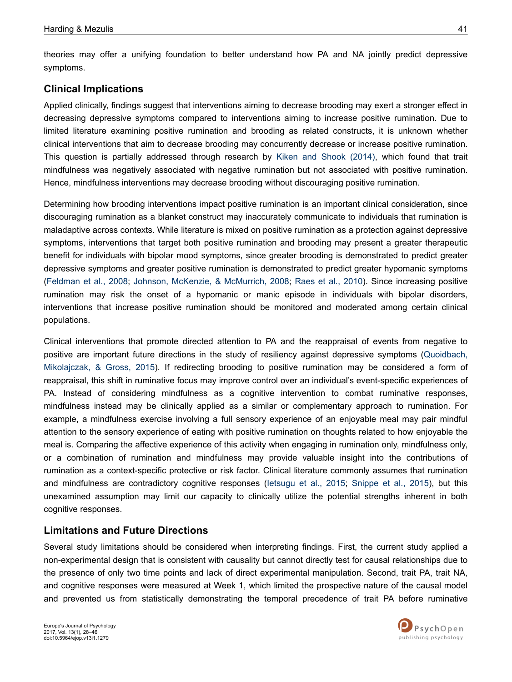symptoms.

theories may offer a unifying foundation to better understand how PA and NA jointly predict depressive

# **Clinical Implications**

Applied clinically, findings suggest that interventions aiming to decrease brooding may exert a stronger effect in decreasing depressive symptoms compared to interventions aiming to increase positive rumination. Due to limited literature examining positive rumination and brooding as related constructs, it is unknown whether clinical interventions that aim to decrease brooding may concurrently decrease or increase positive rumination. This question is partially addressed through research by [Kiken and Shook \(2014\)](#page-16-0), which found that trait mindfulness was negatively associated with negative rumination but not associated with positive rumination. Hence, mindfulness interventions may decrease brooding without discouraging positive rumination.

Determining how brooding interventions impact positive rumination is an important clinical consideration, since discouraging rumination as a blanket construct may inaccurately communicate to individuals that rumination is maladaptive across contexts. While literature is mixed on positive rumination as a protection against depressive symptoms, interventions that target both positive rumination and brooding may present a greater therapeutic benefit for individuals with bipolar mood symptoms, since greater brooding is demonstrated to predict greater depressive symptoms and greater positive rumination is demonstrated to predict greater hypomanic symptoms [\(Feldman et al., 2008;](#page-15-0) [Johnson, McKenzie, & McMurrich, 2008;](#page-16-0) [Raes et al., 2010](#page-17-0)). Since increasing positive rumination may risk the onset of a hypomanic or manic episode in individuals with bipolar disorders, interventions that increase positive rumination should be monitored and moderated among certain clinical populations.

Clinical interventions that promote directed attention to PA and the reappraisal of events from negative to positive are important future directions in the study of resiliency against depressive symptoms [\(Quoidbach,](#page-17-0) [Mikolajczak, & Gross, 2015](#page-17-0)). If redirecting brooding to positive rumination may be considered a form of reappraisal, this shift in ruminative focus may improve control over an individual's event-specific experiences of PA. Instead of considering mindfulness as a cognitive intervention to combat ruminative responses, mindfulness instead may be clinically applied as a similar or complementary approach to rumination. For example, a mindfulness exercise involving a full sensory experience of an enjoyable meal may pair mindful attention to the sensory experience of eating with positive rumination on thoughts related to how enjoyable the meal is. Comparing the affective experience of this activity when engaging in rumination only, mindfulness only, or a combination of rumination and mindfulness may provide valuable insight into the contributions of rumination as a context-specific protective or risk factor. Clinical literature commonly assumes that rumination and mindfulness are contradictory cognitive responses ([Ietsugu et al., 2015;](#page-16-0) [Snippe et al., 2015](#page-17-0)), but this unexamined assumption may limit our capacity to clinically utilize the potential strengths inherent in both cognitive responses.

## **Limitations and Future Directions**

Several study limitations should be considered when interpreting findings. First, the current study applied a non-experimental design that is consistent with causality but cannot directly test for causal relationships due to the presence of only two time points and lack of direct experimental manipulation. Second, trait PA, trait NA, and cognitive responses were measured at Week 1, which limited the prospective nature of the causal model and prevented us from statistically demonstrating the temporal precedence of trait PA before ruminative

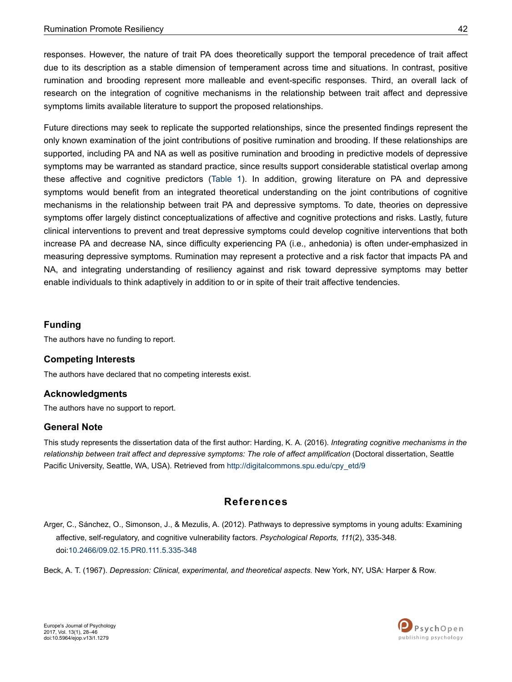<span id="page-14-0"></span>responses. However, the nature of trait PA does theoretically support the temporal precedence of trait affect due to its description as a stable dimension of temperament across time and situations. In contrast, positive rumination and brooding represent more malleable and event-specific responses. Third, an overall lack of research on the integration of cognitive mechanisms in the relationship between trait affect and depressive symptoms limits available literature to support the proposed relationships.

Future directions may seek to replicate the supported relationships, since the presented findings represent the only known examination of the joint contributions of positive rumination and brooding. If these relationships are supported, including PA and NA as well as positive rumination and brooding in predictive models of depressive symptoms may be warranted as standard practice, since results support considerable statistical overlap among these affective and cognitive predictors ([Table 1](#page-7-0)). In addition, growing literature on PA and depressive symptoms would benefit from an integrated theoretical understanding on the joint contributions of cognitive mechanisms in the relationship between trait PA and depressive symptoms. To date, theories on depressive symptoms offer largely distinct conceptualizations of affective and cognitive protections and risks. Lastly, future clinical interventions to prevent and treat depressive symptoms could develop cognitive interventions that both increase PA and decrease NA, since difficulty experiencing PA (i.e., anhedonia) is often under-emphasized in measuring depressive symptoms. Rumination may represent a protective and a risk factor that impacts PA and NA, and integrating understanding of resiliency against and risk toward depressive symptoms may better enable individuals to think adaptively in addition to or in spite of their trait affective tendencies.

### **Funding**

The authors have no funding to report.

### **Competing Interests**

The authors have declared that no competing interests exist.

### **Acknowledgments**

The authors have no support to report.

### **General Note**

This study represents the dissertation data of the first author: Harding, K. A. (2016). *Integrating cognitive mechanisms in the relationship between trait affect and depressive symptoms: The role of affect amplification* (Doctoral dissertation, Seattle Pacific University, Seattle, WA, USA). Retrieved from [http://digitalcommons.spu.edu/cpy\\_etd/9](http://digitalcommons.spu.edu/cpy_etd/9)

## **References**

Arger, C., Sánchez, O., Simonson, J., & Mezulis, A. (2012). Pathways to depressive symptoms in young adults: Examining affective, self-regulatory, and cognitive vulnerability factors. *Psychological Reports, 111*(2), 335-348. doi:[10.2466/09.02.15.PR0.111.5.335-348](http://doi.org/10.2466/09.02.15.PR0.111.5.335-348)

Beck, A. T. (1967). *Depression: Clinical, experimental, and theoretical aspects.* New York, NY, USA: Harper & Row.

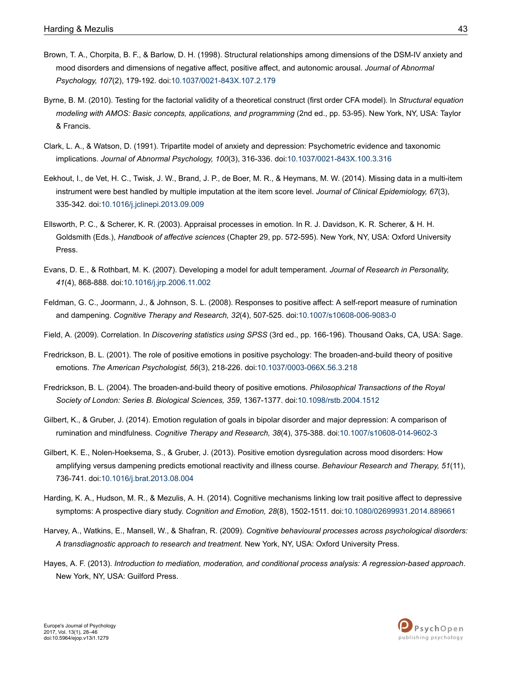- <span id="page-15-0"></span>Brown, T. A., Chorpita, B. F., & Barlow, D. H. (1998). Structural relationships among dimensions of the DSM-IV anxiety and mood disorders and dimensions of negative affect, positive affect, and autonomic arousal. *Journal of Abnormal Psychology, 107*(2), 179-192. doi[:10.1037/0021-843X.107.2.179](http://doi.org/10.1037/0021-843X.107.2.179)
- Byrne, B. M. (2010). Testing for the factorial validity of a theoretical construct (first order CFA model). In *Structural equation modeling with AMOS: Basic concepts, applications, and programming* (2nd ed., pp. 53-95). New York, NY, USA: Taylor & Francis.
- Clark, L. A., & Watson, D. (1991). Tripartite model of anxiety and depression: Psychometric evidence and taxonomic implications. *Journal of Abnormal Psychology, 100*(3), 316-336. doi[:10.1037/0021-843X.100.3.316](http://doi.org/10.1037/0021-843X.100.3.316)
- Eekhout, I., de Vet, H. C., Twisk, J. W., Brand, J. P., de Boer, M. R., & Heymans, M. W. (2014). Missing data in a multi-item instrument were best handled by multiple imputation at the item score level. *Journal of Clinical Epidemiology, 67*(3), 335-342. doi:[10.1016/j.jclinepi.2013.09.009](http://doi.org/10.1016/j.jclinepi.2013.09.009)
- Ellsworth, P. C., & Scherer, K. R. (2003). Appraisal processes in emotion. In R. J. Davidson, K. R. Scherer, & H. H. Goldsmith (Eds.), *Handbook of affective sciences* (Chapter 29, pp. 572-595). New York, NY, USA: Oxford University Press.
- Evans, D. E., & Rothbart, M. K. (2007). Developing a model for adult temperament. *Journal of Research in Personality, 41*(4), 868-888. doi:[10.1016/j.jrp.2006.11.002](http://doi.org/10.1016/j.jrp.2006.11.002)
- Feldman, G. C., Joormann, J., & Johnson, S. L. (2008). Responses to positive affect: A self-report measure of rumination and dampening. *Cognitive Therapy and Research, 32*(4), 507-525. doi[:10.1007/s10608-006-9083-0](http://doi.org/10.1007/s10608-006-9083-0)
- Field, A. (2009). Correlation. In *Discovering statistics using SPSS* (3rd ed., pp. 166-196). Thousand Oaks, CA, USA: Sage.
- Fredrickson, B. L. (2001). The role of positive emotions in positive psychology: The broaden-and-build theory of positive emotions. *The American Psychologist, 56*(3), 218-226. doi[:10.1037/0003-066X.56.3.218](http://doi.org/10.1037/0003-066X.56.3.218)
- Fredrickson, B. L. (2004). The broaden-and-build theory of positive emotions. *Philosophical Transactions of the Royal Society of London: Series B. Biological Sciences, 359*, 1367-1377. doi[:10.1098/rstb.2004.1512](http://doi.org/10.1098/rstb.2004.1512)
- Gilbert, K., & Gruber, J. (2014). Emotion regulation of goals in bipolar disorder and major depression: A comparison of rumination and mindfulness. *Cognitive Therapy and Research, 38*(4), 375-388. doi[:10.1007/s10608-014-9602-3](http://doi.org/10.1007/s10608-014-9602-3)
- Gilbert, K. E., Nolen-Hoeksema, S., & Gruber, J. (2013). Positive emotion dysregulation across mood disorders: How amplifying versus dampening predicts emotional reactivity and illness course. *Behaviour Research and Therapy, 51*(11), 736-741. doi:[10.1016/j.brat.2013.08.004](http://doi.org/10.1016/j.brat.2013.08.004)
- Harding, K. A., Hudson, M. R., & Mezulis, A. H. (2014). Cognitive mechanisms linking low trait positive affect to depressive symptoms: A prospective diary study. *Cognition and Emotion, 28*(8), 1502-1511. doi[:10.1080/02699931.2014.889661](http://doi.org/10.1080/02699931.2014.889661)
- Harvey, A., Watkins, E., Mansell, W., & Shafran, R. (2009). *Cognitive behavioural processes across psychological disorders: A transdiagnostic approach to research and treatment.* New York, NY, USA: Oxford University Press.
- Hayes, A. F. (2013). *Introduction to mediation, moderation, and conditional process analysis: A regression-based approach*. New York, NY, USA: Guilford Press.

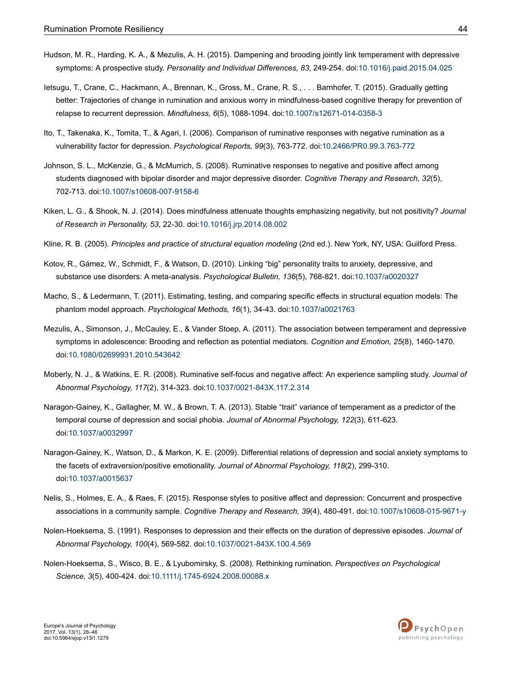- <span id="page-16-0"></span>Hudson, M. R., Harding, K. A., & Mezulis, A. H. (2015). Dampening and brooding jointly link temperament with depressive symptoms: A prospective study. *Personality and Individual Differences, 83*, 249-254. doi[:10.1016/j.paid.2015.04.025](http://doi.org/10.1016/j.paid.2015.04.025)
- Ietsugu, T., Crane, C., Hackmann, A., Brennan, K., Gross, M., Crane, R. S., . . . Barnhofer, T. (2015). Gradually getting better: Trajectories of change in rumination and anxious worry in mindfulness-based cognitive therapy for prevention of relapse to recurrent depression. *Mindfulness, 6*(5), 1088-1094. doi[:10.1007/s12671-014-0358-3](http://doi.org/10.1007/s12671-014-0358-3)
- Ito, T., Takenaka, K., Tomita, T., & Agari, I. (2006). Comparison of ruminative responses with negative rumination as a vulnerability factor for depression. *Psychological Reports, 99*(3), 763-772. doi:[10.2466/PR0.99.3.763-772](http://doi.org/10.2466/PR0.99.3.763-772)
- Johnson, S. L., McKenzie, G., & McMurrich, S. (2008). Ruminative responses to negative and positive affect among students diagnosed with bipolar disorder and major depressive disorder. *Cognitive Therapy and Research, 32*(5), 702-713. doi:[10.1007/s10608-007-9158-6](http://doi.org/10.1007/s10608-007-9158-6)
- Kiken, L. G., & Shook, N. J. (2014). Does mindfulness attenuate thoughts emphasizing negativity, but not positivity? *Journal of Research in Personality, 53*, 22-30. doi[:10.1016/j.jrp.2014.08.002](http://doi.org/10.1016/j.jrp.2014.08.002)
- Kline, R. B. (2005). *Principles and practice of structural equation modeling* (2nd ed.). New York, NY, USA: Guilford Press.
- Kotov, R., Gámez, W., Schmidt, F., & Watson, D. (2010). Linking "big" personality traits to anxiety, depressive, and substance use disorders: A meta-analysis. *Psychological Bulletin, 136*(5), 768-821. doi[:10.1037/a0020327](http://doi.org/10.1037/a0020327)
- Macho, S., & Ledermann, T. (2011). Estimating, testing, and comparing specific effects in structural equation models: The phantom model approach. *Psychological Methods, 16*(1), 34-43. doi:[10.1037/a0021763](http://doi.org/10.1037/a0021763)
- Mezulis, A., Simonson, J., McCauley, E., & Vander Stoep, A. (2011). The association between temperament and depressive symptoms in adolescence: Brooding and reflection as potential mediators. *Cognition and Emotion, 25*(8), 1460-1470. doi:[10.1080/02699931.2010.543642](http://doi.org/10.1080/02699931.2010.543642)
- Moberly, N. J., & Watkins, E. R. (2008). Ruminative self-focus and negative affect: An experience sampling study. *Journal of Abnormal Psychology, 117*(2), 314-323. doi[:10.1037/0021-843X.117.2.314](http://doi.org/10.1037/0021-843X.117.2.314)
- Naragon-Gainey, K., Gallagher, M. W., & Brown, T. A. (2013). Stable "trait" variance of temperament as a predictor of the temporal course of depression and social phobia. *Journal of Abnormal Psychology, 122*(3), 611-623. doi:[10.1037/a0032997](http://doi.org/10.1037/a0032997)
- Naragon-Gainey, K., Watson, D., & Markon, K. E. (2009). Differential relations of depression and social anxiety symptoms to the facets of extraversion/positive emotionality. *Journal of Abnormal Psychology, 118*(2), 299-310. doi:[10.1037/a0015637](http://doi.org/10.1037/a0015637)
- Nelis, S., Holmes, E. A., & Raes, F. (2015). Response styles to positive affect and depression: Concurrent and prospective associations in a community sample. *Cognitive Therapy and Research, 39*(4), 480-491. doi[:10.1007/s10608-015-9671-y](http://doi.org/10.1007/s10608-015-9671-y)
- Nolen-Hoeksema, S. (1991). Responses to depression and their effects on the duration of depressive episodes. *Journal of Abnormal Psychology, 100*(4), 569-582. doi[:10.1037/0021-843X.100.4.569](http://doi.org/10.1037/0021-843X.100.4.569)
- Nolen-Hoeksema, S., Wisco, B. E., & Lyubomirsky, S. (2008). Rethinking rumination. *Perspectives on Psychological Science, 3*(5), 400-424. doi:[10.1111/j.1745-6924.2008.00088.x](http://doi.org/10.1111/j.1745-6924.2008.00088.x)

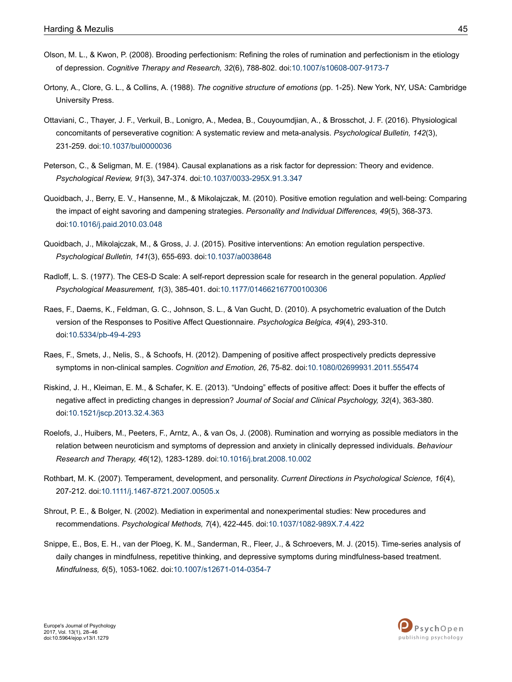- <span id="page-17-0"></span>Olson, M. L., & Kwon, P. (2008). Brooding perfectionism: Refining the roles of rumination and perfectionism in the etiology of depression. *Cognitive Therapy and Research, 32*(6), 788-802. doi[:10.1007/s10608-007-9173-7](http://doi.org/10.1007/s10608-007-9173-7)
- Ortony, A., Clore, G. L., & Collins, A. (1988). *The cognitive structure of emotions* (pp. 1-25). New York, NY, USA: Cambridge University Press.
- Ottaviani, C., Thayer, J. F., Verkuil, B., Lonigro, A., Medea, B., Couyoumdjian, A., & Brosschot, J. F. (2016). Physiological concomitants of perseverative cognition: A systematic review and meta-analysis. *Psychological Bulletin, 142*(3), 231-259. doi:[10.1037/bul0000036](http://doi.org/10.1037/bul0000036)
- Peterson, C., & Seligman, M. E. (1984). Causal explanations as a risk factor for depression: Theory and evidence. *Psychological Review, 91*(3), 347-374. doi[:10.1037/0033-295X.91.3.347](http://doi.org/10.1037/0033-295X.91.3.347)
- Quoidbach, J., Berry, E. V., Hansenne, M., & Mikolajczak, M. (2010). Positive emotion regulation and well-being: Comparing the impact of eight savoring and dampening strategies. *Personality and Individual Differences, 49*(5), 368-373. doi:[10.1016/j.paid.2010.03.048](http://doi.org/10.1016/j.paid.2010.03.048)
- Quoidbach, J., Mikolajczak, M., & Gross, J. J. (2015). Positive interventions: An emotion regulation perspective. *Psychological Bulletin, 141*(3), 655-693. doi:[10.1037/a0038648](http://doi.org/10.1037/a0038648)
- Radloff, L. S. (1977). The CES-D Scale: A self-report depression scale for research in the general population. *Applied Psychological Measurement, 1*(3), 385-401. doi[:10.1177/014662167700100306](http://doi.org/10.1177/014662167700100306)
- Raes, F., Daems, K., Feldman, G. C., Johnson, S. L., & Van Gucht, D. (2010). A psychometric evaluation of the Dutch version of the Responses to Positive Affect Questionnaire. *Psychologica Belgica, 49*(4), 293-310. doi:[10.5334/pb-49-4-293](http://doi.org/10.5334/pb-49-4-293)
- Raes, F., Smets, J., Nelis, S., & Schoofs, H. (2012). Dampening of positive affect prospectively predicts depressive symptoms in non-clinical samples. *Cognition and Emotion, 26*, 75-82. doi:[10.1080/02699931.2011.555474](http://doi.org/10.1080/02699931.2011.555474)
- Riskind, J. H., Kleiman, E. M., & Schafer, K. E. (2013). "Undoing" effects of positive affect: Does it buffer the effects of negative affect in predicting changes in depression? *Journal of Social and Clinical Psychology, 32*(4), 363-380. doi:[10.1521/jscp.2013.32.4.363](http://doi.org/10.1521/jscp.2013.32.4.363)
- Roelofs, J., Huibers, M., Peeters, F., Arntz, A., & van Os, J. (2008). Rumination and worrying as possible mediators in the relation between neuroticism and symptoms of depression and anxiety in clinically depressed individuals. *Behaviour Research and Therapy, 46*(12), 1283-1289. doi:[10.1016/j.brat.2008.10.002](http://doi.org/10.1016/j.brat.2008.10.002)
- Rothbart, M. K. (2007). Temperament, development, and personality. *Current Directions in Psychological Science, 16*(4), 207-212. doi:[10.1111/j.1467-8721.2007.00505.x](http://doi.org/10.1111/j.1467-8721.2007.00505.x)
- Shrout, P. E., & Bolger, N. (2002). Mediation in experimental and nonexperimental studies: New procedures and recommendations. *Psychological Methods, 7*(4), 422-445. doi[:10.1037/1082-989X.7.4.422](http://doi.org/10.1037/1082-989X.7.4.422)
- Snippe, E., Bos, E. H., van der Ploeg, K. M., Sanderman, R., Fleer, J., & Schroevers, M. J. (2015). Time-series analysis of daily changes in mindfulness, repetitive thinking, and depressive symptoms during mindfulness-based treatment. *Mindfulness, 6*(5), 1053-1062. doi:[10.1007/s12671-014-0354-7](http://doi.org/10.1007/s12671-014-0354-7)